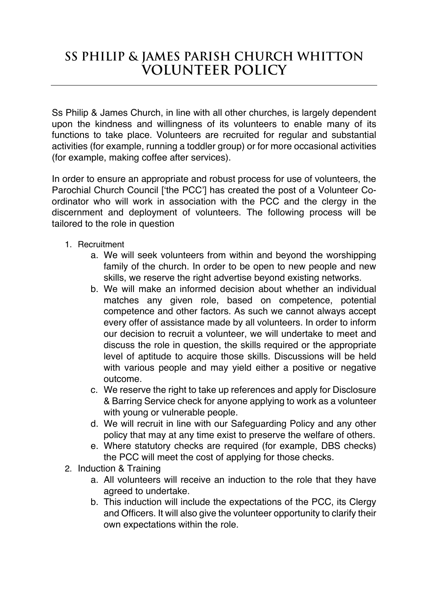## **Ss Philip & James Parish Church Whitton Volunteer Policy**

Ss Philip & James Church, in line with all other churches, is largely dependent upon the kindness and willingness of its volunteers to enable many of its functions to take place. Volunteers are recruited for regular and substantial activities (for example, running a toddler group) or for more occasional activities (for example, making coffee after services).

In order to ensure an appropriate and robust process for use of volunteers, the Parochial Church Council ['the PCC'] has created the post of a Volunteer Coordinator who will work in association with the PCC and the clergy in the discernment and deployment of volunteers. The following process will be tailored to the role in question

- 1. Recruitment
	- a. We will seek volunteers from within and beyond the worshipping family of the church. In order to be open to new people and new skills, we reserve the right advertise beyond existing networks.
	- b. We will make an informed decision about whether an individual matches any given role, based on competence, potential competence and other factors. As such we cannot always accept every offer of assistance made by all volunteers. In order to inform our decision to recruit a volunteer, we will undertake to meet and discuss the role in question, the skills required or the appropriate level of aptitude to acquire those skills. Discussions will be held with various people and may vield either a positive or negative outcome.
	- c. We reserve the right to take up references and apply for Disclosure & Barring Service check for anyone applying to work as a volunteer with young or vulnerable people.
	- d. We will recruit in line with our Safeguarding Policy and any other policy that may at any time exist to preserve the welfare of others.
	- e. Where statutory checks are required (for example, DBS checks) the PCC will meet the cost of applying for those checks.
- 2. Induction & Training
	- a. All volunteers will receive an induction to the role that they have agreed to undertake.
	- b. This induction will include the expectations of the PCC, its Clergy and Officers. It will also give the volunteer opportunity to clarify their own expectations within the role.